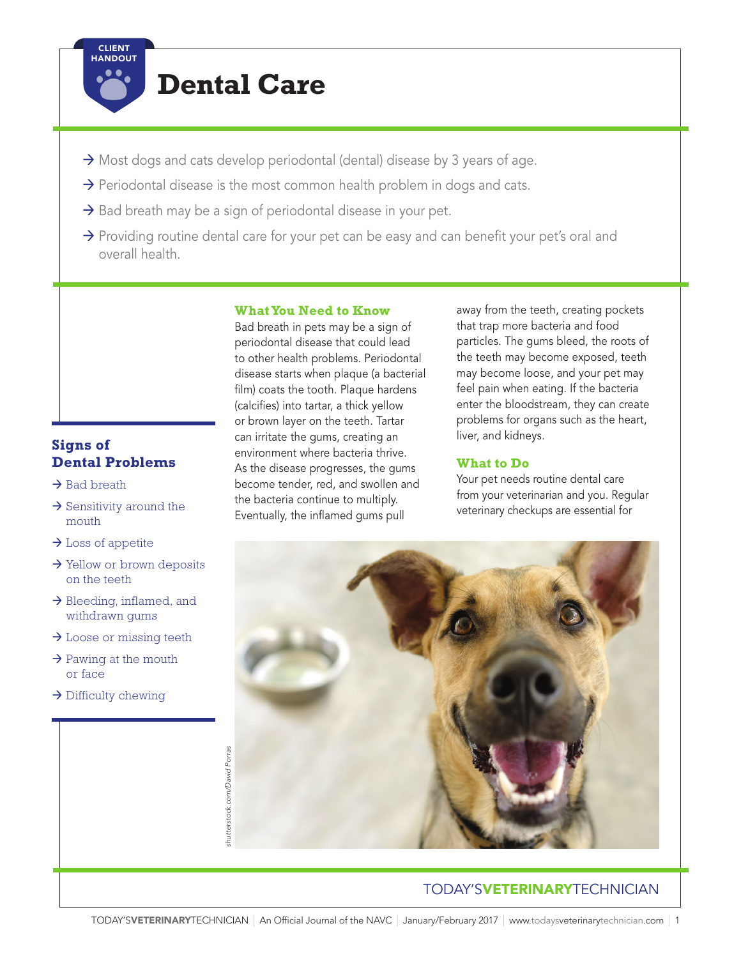

# **Dental Care**

- $\rightarrow$  Most dogs and cats develop periodontal (dental) disease by 3 years of age.
- $\rightarrow$  Periodontal disease is the most common health problem in dogs and cats.
- $\rightarrow$  Bad breath may be a sign of periodontal disease in your pet.
- $\rightarrow$  Providing routine dental care for your pet can be easy and can benefit your pet's oral and overall health.

### **Signs of Dental Problems**

- $\rightarrow$  Bad breath
- $\rightarrow$  Sensitivity around the mouth
- $\rightarrow$  Loss of appetite
- $\rightarrow$  Yellow or brown deposits on the teeth
- $\rightarrow$  Bleeding, inflamed, and withdrawn gums
- $\rightarrow$  Loose or missing teeth
- $\rightarrow$  Pawing at the mouth or face
- $\rightarrow$  Difficulty chewing

#### **What You Need to Know**

Bad breath in pets may be a sign of periodontal disease that could lead to other health problems. Periodontal disease starts when plaque (a bacterial film) coats the tooth. Plaque hardens (calcifies) into tartar, a thick yellow or brown layer on the teeth. Tartar can irritate the gums, creating an environment where bacteria thrive. As the disease progresses, the gums become tender, red, and swollen and the bacteria continue to multiply. Eventually, the inflamed gums pull

away from the teeth, creating pockets that trap more bacteria and food particles. The gums bleed, the roots of the teeth may become exposed, teeth may become loose, and your pet may feel pain when eating. If the bacteria enter the bloodstream, they can create problems for organs such as the heart, liver, and kidneys.

#### **What to Do**

Your pet needs routine dental care from your veterinarian and you. Regular veterinary checkups are essential for



## TODAY'SVETERINARYTECHNICIAN